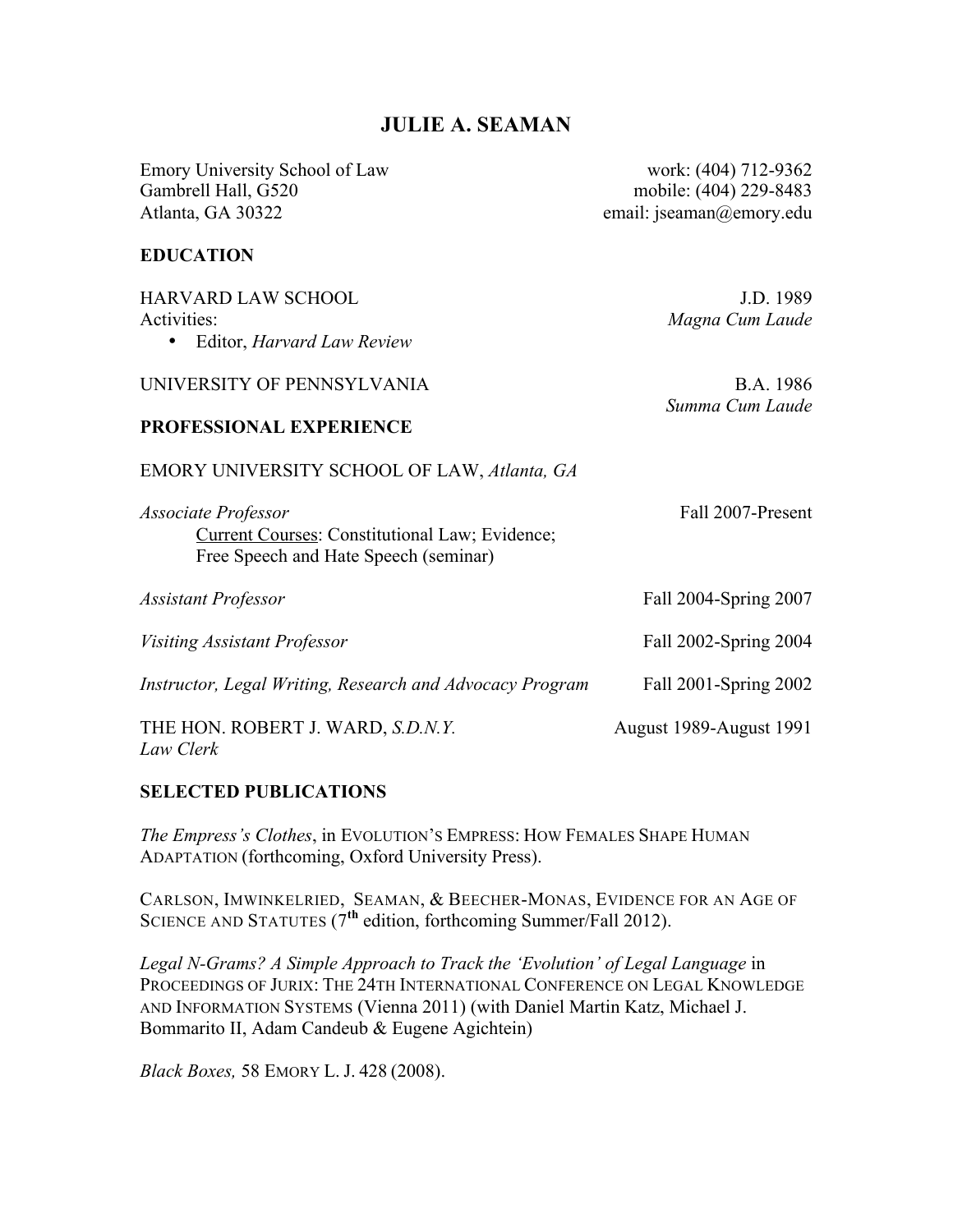# **JULIE A. SEAMAN**

Emory University School of Law work: (404) 712-9362 Gambrell Hall, G520 mobile: (404) 229-8483 Atlanta, GA 30322 email: jseaman@emory.edu

### **EDUCATION**

| <b>HARVARD LAW SCHOOL</b>                                | J.D. 1989               |
|----------------------------------------------------------|-------------------------|
| Activities:                                              | Magna Cum Laude         |
| Editor, <i>Harvard Law Review</i>                        |                         |
| UNIVERSITY OF PENNSYLVANIA                               | B.A. 1986               |
|                                                          | Summa Cum Laude         |
| PROFESSIONAL EXPERIENCE                                  |                         |
| EMORY UNIVERSITY SCHOOL OF LAW, Atlanta, GA              |                         |
| Associate Professor                                      | Fall 2007-Present       |
| <b>Current Courses: Constitutional Law; Evidence;</b>    |                         |
| Free Speech and Hate Speech (seminar)                    |                         |
| Assistant Professor                                      | Fall 2004-Spring 2007   |
|                                                          |                         |
| Visiting Assistant Professor                             | Fall 2002-Spring 2004   |
| Instructor, Legal Writing, Research and Advocacy Program | Fall 2001-Spring 2002   |
|                                                          |                         |
| THE HON. ROBERT J. WARD, S.D.N.Y.                        | August 1989-August 1991 |
| Law Clerk                                                |                         |

## **SELECTED PUBLICATIONS**

*The Empress's Clothes*, in EVOLUTION'S EMPRESS: HOW FEMALES SHAPE HUMAN ADAPTATION (forthcoming, Oxford University Press).

CARLSON, IMWINKELRIED, SEAMAN, & BEECHER-MONAS, EVIDENCE FOR AN AGE OF SCIENCE AND STATUTES (7**th** edition, forthcoming Summer/Fall 2012).

*Legal N-Grams? A Simple Approach to Track the 'Evolution' of Legal Language* in PROCEEDINGS OF JURIX: THE 24TH INTERNATIONAL CONFERENCE ON LEGAL KNOWLEDGE AND INFORMATION SYSTEMS (Vienna 2011) (with Daniel Martin Katz, Michael J. Bommarito II, Adam Candeub & Eugene Agichtein)

*Black Boxes,* 58 EMORY L. J. 428 (2008).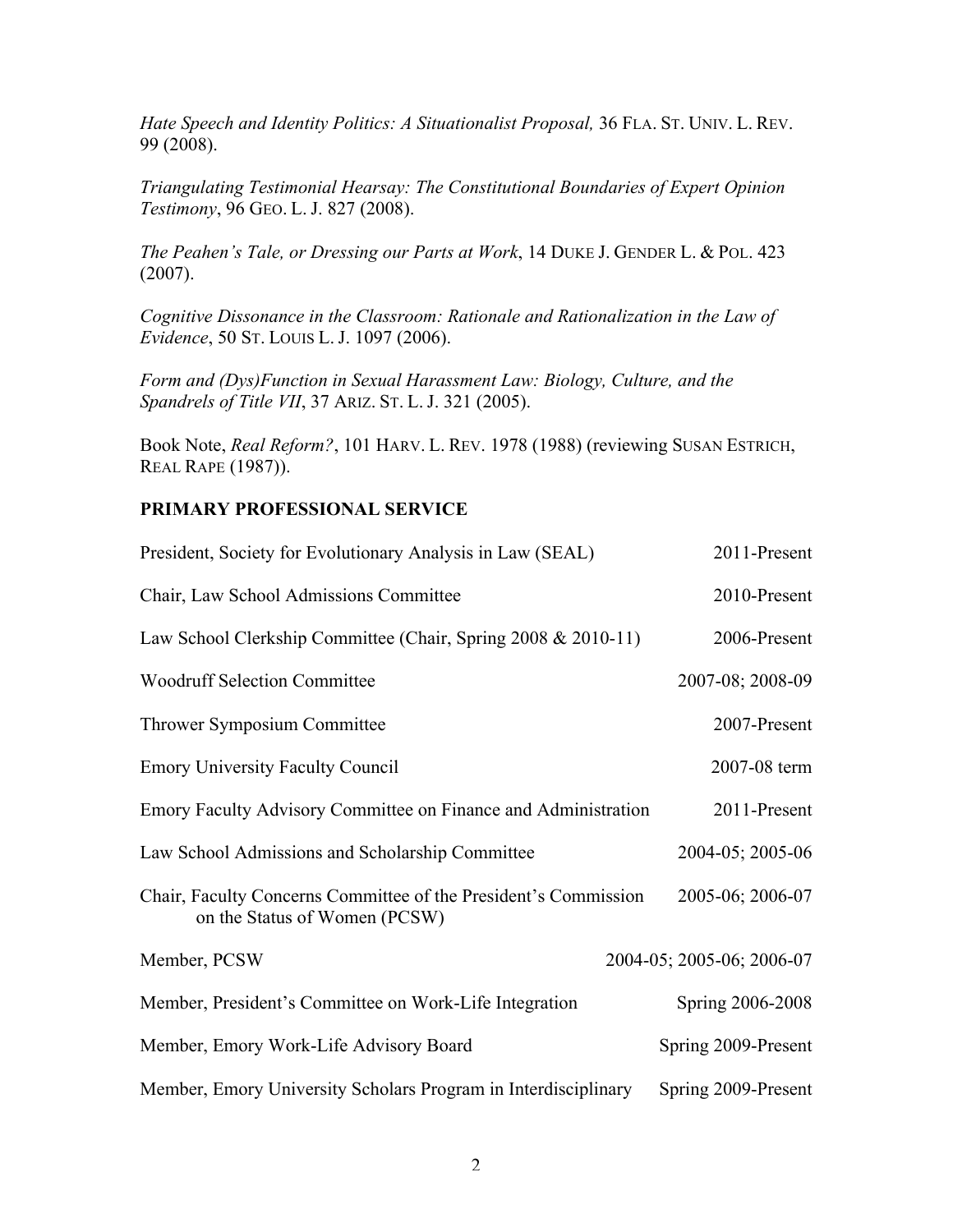*Hate Speech and Identity Politics: A Situationalist Proposal,* 36 FLA. ST. UNIV. L. REV. 99 (2008).

*Triangulating Testimonial Hearsay: The Constitutional Boundaries of Expert Opinion Testimony*, 96 GEO. L. J. 827 (2008).

*The Peahen's Tale, or Dressing our Parts at Work*, 14 DUKE J. GENDER L. & POL. 423 (2007).

*Cognitive Dissonance in the Classroom: Rationale and Rationalization in the Law of Evidence*, 50 ST. LOUIS L. J. 1097 (2006).

*Form and (Dys)Function in Sexual Harassment Law: Biology, Culture, and the Spandrels of Title VII*, 37 ARIZ. ST. L. J. 321 (2005).

Book Note, *Real Reform?*, 101 HARV. L. REV. 1978 (1988) (reviewing SUSAN ESTRICH, REAL RAPE (1987)).

#### **PRIMARY PROFESSIONAL SERVICE**

| President, Society for Evolutionary Analysis in Law (SEAL)                                       | 2011-Present              |
|--------------------------------------------------------------------------------------------------|---------------------------|
| Chair, Law School Admissions Committee                                                           | 2010-Present              |
| Law School Clerkship Committee (Chair, Spring 2008 & 2010-11)                                    | 2006-Present              |
| <b>Woodruff Selection Committee</b>                                                              | 2007-08; 2008-09          |
| Thrower Symposium Committee                                                                      | 2007-Present              |
| <b>Emory University Faculty Council</b>                                                          | 2007-08 term              |
| Emory Faculty Advisory Committee on Finance and Administration                                   | 2011-Present              |
| Law School Admissions and Scholarship Committee                                                  | 2004-05; 2005-06          |
| Chair, Faculty Concerns Committee of the President's Commission<br>on the Status of Women (PCSW) | 2005-06; 2006-07          |
| Member, PCSW                                                                                     | 2004-05; 2005-06; 2006-07 |
| Member, President's Committee on Work-Life Integration                                           | Spring 2006-2008          |
| Member, Emory Work-Life Advisory Board                                                           | Spring 2009-Present       |
| Member, Emory University Scholars Program in Interdisciplinary                                   | Spring 2009-Present       |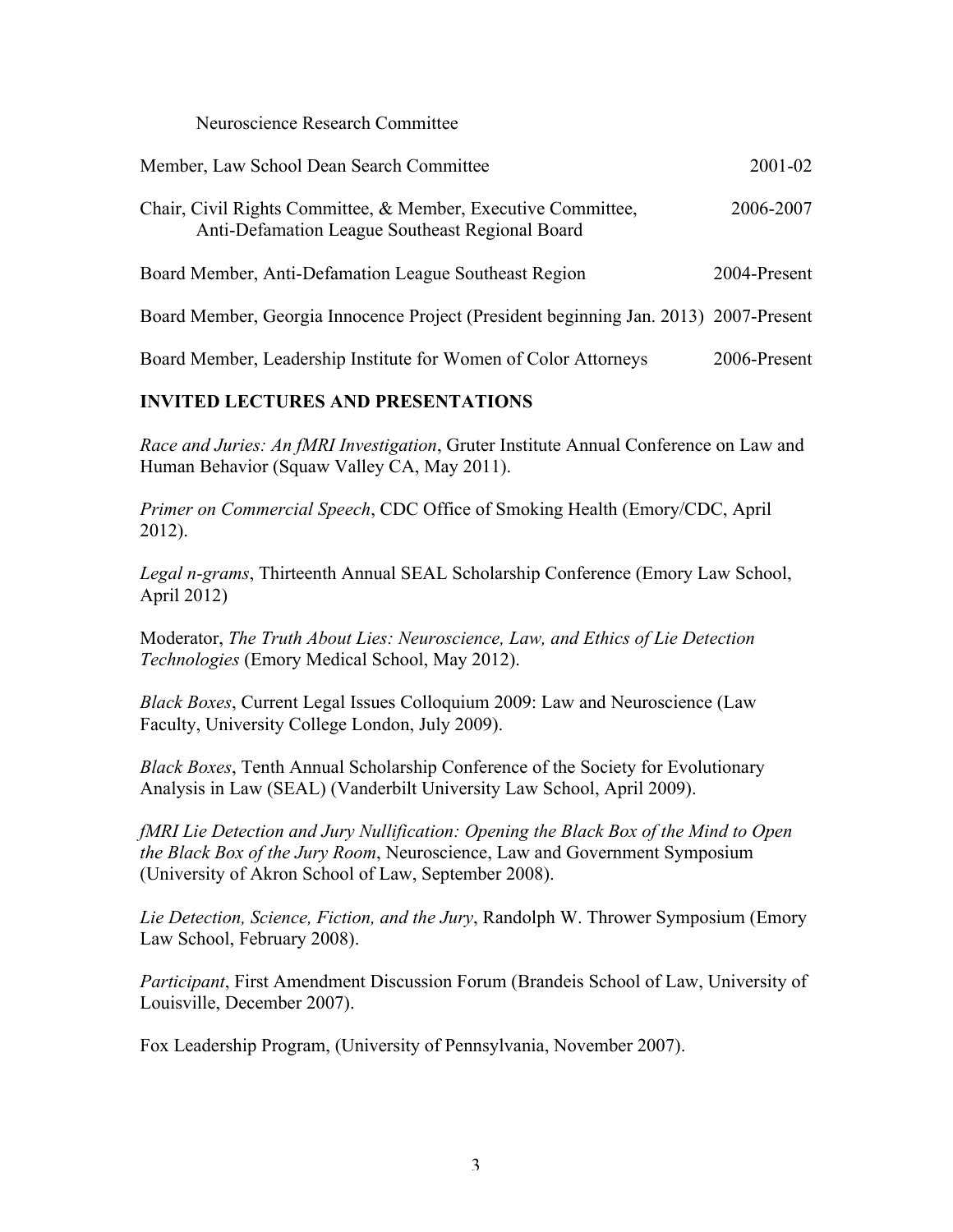Neuroscience Research Committee

| Member, Law School Dean Search Committee                                                                         | 2001-02      |
|------------------------------------------------------------------------------------------------------------------|--------------|
| Chair, Civil Rights Committee, & Member, Executive Committee,<br>Anti-Defamation League Southeast Regional Board | 2006-2007    |
| Board Member, Anti-Defamation League Southeast Region                                                            | 2004-Present |
| Board Member, Georgia Innocence Project (President beginning Jan. 2013) 2007-Present                             |              |
| Board Member, Leadership Institute for Women of Color Attorneys                                                  | 2006-Present |

## **INVITED LECTURES AND PRESENTATIONS**

*Race and Juries: An fMRI Investigation*, Gruter Institute Annual Conference on Law and Human Behavior (Squaw Valley CA, May 2011).

*Primer on Commercial Speech*, CDC Office of Smoking Health (Emory/CDC, April 2012).

*Legal n-grams*, Thirteenth Annual SEAL Scholarship Conference (Emory Law School, April 2012)

Moderator, *The Truth About Lies: Neuroscience, Law, and Ethics of Lie Detection Technologies* (Emory Medical School, May 2012).

*Black Boxes*, Current Legal Issues Colloquium 2009: Law and Neuroscience (Law Faculty, University College London, July 2009).

*Black Boxes*, Tenth Annual Scholarship Conference of the Society for Evolutionary Analysis in Law (SEAL) (Vanderbilt University Law School, April 2009).

*fMRI Lie Detection and Jury Nullification: Opening the Black Box of the Mind to Open the Black Box of the Jury Room*, Neuroscience, Law and Government Symposium (University of Akron School of Law, September 2008).

*Lie Detection, Science, Fiction, and the Jury*, Randolph W. Thrower Symposium (Emory Law School, February 2008).

*Participant*, First Amendment Discussion Forum (Brandeis School of Law, University of Louisville, December 2007).

Fox Leadership Program, (University of Pennsylvania, November 2007).